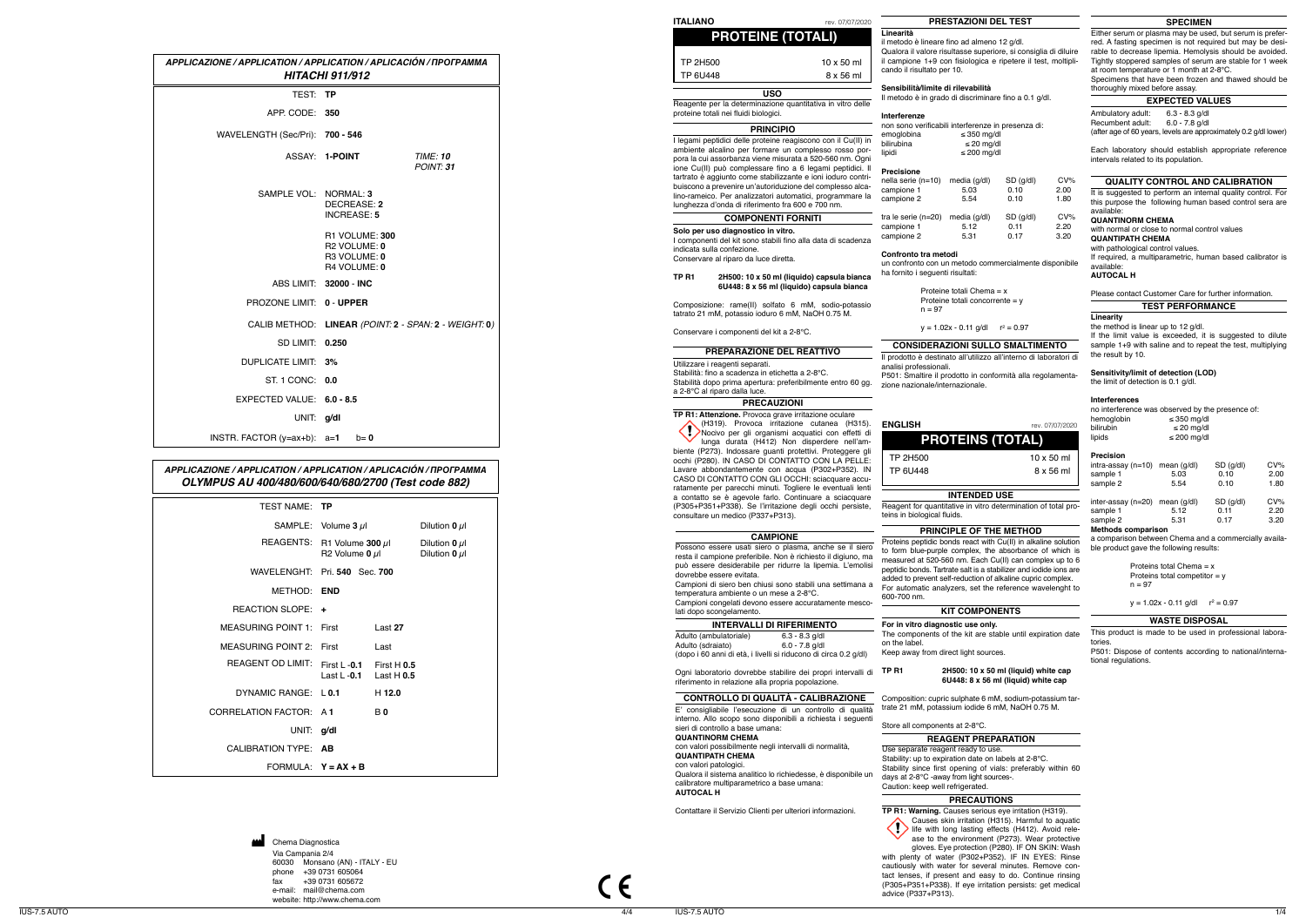**ITALIANO** rev. 07/07/2020

(  $\epsilon$ 

Via Campania 2/4  $60030$  Monsano  $phone +39 0731 60$ fax +39 0731 605672 e-mail: mail@chema.com website: http://www.chema.com Chema Diagnostica

## **PRESTAZIONI DEL TEST**

## **INTENDED USE**

## **PRINCIPLE OF THE METHOD**

## **KIT COMPONENTS**

## **CONSIDERAZIONI SULLO SMALTIMENTO** Il prodotto è destinato all'utilizzo all'interno di laboratori di

Stability since first opening of vials: preferably within 60 days at 2-8°C -away from light sources-.

## **PRECAUTIONS**

## **QUALITY CONTROL AND CALIBRATION**

## **WASTE DISPOSAL**

analisi professionali.

teins in biological fluids.

P501: Smaltire il prodotto in conformità alla regolamenta-

|    | rev. 07/07/202 |
|----|----------------|
| __ |                |

| OTAL)             |  |
|-------------------|--|
| $10 \times 50$ ml |  |
| 8 x 56 ml         |  |
|                   |  |

zione nazionale/internazionale.

**PROTEINS (T** 

# Caution: keep well refrigerated.

## **EXPECTED VALUES**

This product is made to be used in professional laboratories.

P501: Dispose of contents according to national/international regulations.

|                                                                                                                                                                               |                                                                            |                               |                                                       |  |  |                                                                                                                                                                                                                                                                                                                                                                                                           | <b>PROTEINE (TOTALI)</b>         |                                                                                                  |
|-------------------------------------------------------------------------------------------------------------------------------------------------------------------------------|----------------------------------------------------------------------------|-------------------------------|-------------------------------------------------------|--|--|-----------------------------------------------------------------------------------------------------------------------------------------------------------------------------------------------------------------------------------------------------------------------------------------------------------------------------------------------------------------------------------------------------------|----------------------------------|--------------------------------------------------------------------------------------------------|
| APPLICAZIONE / APPLICATION / APPLICATION / APLICACIÓN / ПРОГРАММА                                                                                                             | <b>HITACHI 911/912</b>                                                     |                               |                                                       |  |  | <b>TP 2H500</b><br><b>TP 6U448</b>                                                                                                                                                                                                                                                                                                                                                                        |                                  | $10 \times 50$ ml<br>8 x 56 ml                                                                   |
| TEST: TP                                                                                                                                                                      |                                                                            |                               |                                                       |  |  |                                                                                                                                                                                                                                                                                                                                                                                                           | <b>USO</b>                       |                                                                                                  |
| APP CODE: 350                                                                                                                                                                 |                                                                            |                               |                                                       |  |  | Reagente per la determinazione quantitativa in vitro delle<br>proteine totali nei fluidi biologici.                                                                                                                                                                                                                                                                                                       |                                  |                                                                                                  |
| WAVELENGTH (Sec/Pri): 700 - 546                                                                                                                                               |                                                                            |                               |                                                       |  |  |                                                                                                                                                                                                                                                                                                                                                                                                           | <b>PRINCIPIO</b>                 |                                                                                                  |
|                                                                                                                                                                               | ASSAY: 1-POINT                                                             |                               | <b>TIME: 10</b><br>POINT: 31                          |  |  | I legami peptidici delle proteine reagiscono con il Cu(II) in<br>ambiente alcalino per formare un complesso rosso por-<br>pora la cui assorbanza viene misurata a 520-560 nm. Ogni<br>ione Cu(II) può complessare fino a 6 legami peptidici. Il<br>tartrato è aggiunto come stabilizzante e ioni ioduro contri-                                                                                           |                                  |                                                                                                  |
| SAMPLE VOL: NORMAL: 3                                                                                                                                                         | DECREASE: 2<br><b>INCREASE: 5</b>                                          |                               |                                                       |  |  | buiscono a prevenire un'autoriduzione del complesso alca-<br>lino-rameico. Per analizzatori automatici, programmare la<br>lunghezza d'onda di riferimento fra 600 e 700 nm.                                                                                                                                                                                                                               |                                  |                                                                                                  |
|                                                                                                                                                                               | R1 VOLUME: 300<br>R <sub>2</sub> VOLUME: 0<br>R3 VOLUME: 0<br>R4 VOLUME: 0 |                               |                                                       |  |  | Solo per uso diagnostico in vitro.<br>I componenti del kit sono stabili fino alla data di scadenza<br>indicata sulla confezione.<br>Conservare al riparo da luce diretta.                                                                                                                                                                                                                                 | <b>COMPONENTI FORNITI</b>        |                                                                                                  |
|                                                                                                                                                                               | ABS LIMIT: 32000 - INC                                                     |                               |                                                       |  |  | TP R1                                                                                                                                                                                                                                                                                                                                                                                                     |                                  | 2H500: 10 x 50 ml (liquido) capsula bianca<br>6U448: 8 x 56 ml (liquido) capsula bianca          |
| PROZONE LIMIT: 0 - UPPER                                                                                                                                                      |                                                                            |                               |                                                       |  |  | Composizione: rame(II) solfato 6 mM, sodio-potassio<br>tatrato 21 mM, potassio ioduro 6 mM, NaOH 0.75 M.                                                                                                                                                                                                                                                                                                  |                                  |                                                                                                  |
|                                                                                                                                                                               |                                                                            |                               | CALIB METHOD: LINEAR (POINT: 2 - SPAN: 2 - WEIGHT: 0) |  |  | Conservare i componenti del kit a 2-8°C.                                                                                                                                                                                                                                                                                                                                                                  |                                  |                                                                                                  |
| SD LIMIT: 0.250                                                                                                                                                               |                                                                            |                               |                                                       |  |  |                                                                                                                                                                                                                                                                                                                                                                                                           | PREPARAZIONE DEL REATTIVO        |                                                                                                  |
| DUPLICATE LIMIT: 3%                                                                                                                                                           |                                                                            |                               |                                                       |  |  | Utilizzare i reagenti separati.<br>Stabilità: fino a scadenza in etichetta a 2-8°C.                                                                                                                                                                                                                                                                                                                       |                                  |                                                                                                  |
| ST 1 CONC: 0.0                                                                                                                                                                |                                                                            |                               |                                                       |  |  | Stabilità dopo prima apertura: preferibilmente entro 60 gg.<br>a 2-8°C al riparo dalla luce.                                                                                                                                                                                                                                                                                                              |                                  |                                                                                                  |
| EXPECTED VALUE: 6.0 - 8.5                                                                                                                                                     |                                                                            |                               |                                                       |  |  |                                                                                                                                                                                                                                                                                                                                                                                                           | <b>PRECAUZIONI</b>               |                                                                                                  |
| UNIT: g/dl                                                                                                                                                                    |                                                                            |                               |                                                       |  |  | TP R1: Attenzione. Provoca grave irritazione oculare                                                                                                                                                                                                                                                                                                                                                      |                                  | (H319). Provoca irritazione cutanea (H315).<br>Nocivo per gli organismi acquatici con effetti di |
| INSTR. FACTOR $(y=ax+b)$ : $a=1$<br>APPLICAZIONE / APPLICATION / APPLICATION / APLICACIÓN / ΠΡΟΓΡΑΜΜΑ<br>OLYMPUS AU 400/480/600/640/680/2700 (Test code 882)<br>TEST NAME: TP | $b=0$                                                                      |                               |                                                       |  |  | biente (P273). Indossare guanti protettivi. Proteggere gli<br>occhi (P280). IN CASO DI CONTATTO CON LA PELLE:<br>Lavare abbondantemente con acqua (P302+P352). IN<br>CASO DI CONTATTO CON GLI OCCHI: sciacquare accu-<br>ratamente per parecchi minuti. Togliere le eventuali lenti<br>a contatto se è agevole farlo. Continuare a sciacquare<br>(P305+P351+P338). Se l'irritazione degli occhi persiste, |                                  | lunga durata (H412) Non disperdere nell'am-                                                      |
|                                                                                                                                                                               | SAMPLE: Volume $3 \mu$                                                     |                               | Dilution 0 $\mu$ l                                    |  |  | consultare un medico (P337+P313).                                                                                                                                                                                                                                                                                                                                                                         |                                  |                                                                                                  |
| REAGENTS: R1 Volume 300 $\mu$ I                                                                                                                                               |                                                                            |                               | Dilution $0$ $\mu$                                    |  |  |                                                                                                                                                                                                                                                                                                                                                                                                           | <b>CAMPIONE</b>                  |                                                                                                  |
|                                                                                                                                                                               | R2 Volume 0 µl                                                             |                               | Dilution $0$ $\mu$                                    |  |  | Possono essere usati siero o plasma, anche se il siero<br>resta il campione preferibile. Non è richiesto il digiuno, ma<br>può essere desiderabile per ridurre la lipemia. L'emolisi                                                                                                                                                                                                                      |                                  |                                                                                                  |
| WAVELENGHT: Pri. 540 Sec. 700                                                                                                                                                 |                                                                            |                               |                                                       |  |  | dovrebbe essere evitata.<br>Campioni di siero ben chiusi sono stabili una settimana a                                                                                                                                                                                                                                                                                                                     |                                  |                                                                                                  |
| METHOD: END<br>REACTION SLOPE: +                                                                                                                                              |                                                                            |                               |                                                       |  |  | temperatura ambiente o un mese a 2-8°C.<br>Campioni congelati devono essere accuratamente mesco-                                                                                                                                                                                                                                                                                                          |                                  |                                                                                                  |
| <b>MEASURING POINT 1: First</b>                                                                                                                                               |                                                                            | Last 27                       |                                                       |  |  | lati dopo scongelamento.                                                                                                                                                                                                                                                                                                                                                                                  | <b>INTERVALLI DI RIFERIMENTO</b> |                                                                                                  |
|                                                                                                                                                                               |                                                                            |                               |                                                       |  |  | Adulto (ambulatoriale)<br>Adulto (sdraiato)                                                                                                                                                                                                                                                                                                                                                               |                                  | $6.3 - 8.3$ g/dl<br>$6.0 - 7.8$ g/dl                                                             |
| <b>MEASURING POINT 2: First</b><br>REAGENT OD LIMIT: First L -0.1                                                                                                             |                                                                            | Last                          |                                                       |  |  | (dopo i 60 anni di età, i livelli si riducono di circa 0.2 g/dl)                                                                                                                                                                                                                                                                                                                                          |                                  |                                                                                                  |
|                                                                                                                                                                               | Last $L - 0.1$                                                             | First $H$ 0.5<br>Last $H$ 0.5 |                                                       |  |  | Ogni laboratorio dovrebbe stabilire dei propri intervalli di<br>riferimento in relazione alla propria popolazione.                                                                                                                                                                                                                                                                                        |                                  |                                                                                                  |
| DYNAMIC RANGE: L0.1                                                                                                                                                           |                                                                            | $H$ 12.0                      |                                                       |  |  | <b>CONTROLLO DI QUALITÀ - CALIBRAZIONE</b>                                                                                                                                                                                                                                                                                                                                                                |                                  |                                                                                                  |
| CORRELATION FACTOR: A 1                                                                                                                                                       |                                                                            | B <sub>0</sub>                |                                                       |  |  | E' consigliabile l'esecuzione di un controllo di qualità<br>interno. Allo scopo sono disponibili a richiesta i seguenti                                                                                                                                                                                                                                                                                   |                                  |                                                                                                  |
| UNIT: g/dl                                                                                                                                                                    |                                                                            |                               |                                                       |  |  | sieri di controllo a base umana:<br><b>QUANTINORM CHEMA</b>                                                                                                                                                                                                                                                                                                                                               |                                  |                                                                                                  |
| CALIBRATION TYPE: AB                                                                                                                                                          |                                                                            |                               |                                                       |  |  | con valori possibilmente negli intervalli di normalità,<br><b>QUANTIPATH CHEMA</b>                                                                                                                                                                                                                                                                                                                        |                                  |                                                                                                  |
| FORMULA: $Y = AX + B$                                                                                                                                                         |                                                                            |                               |                                                       |  |  | con valori patologici.<br>Qualora il sistema analitico lo richiedesse, è disponibile un<br>calibratore multiparametrico a base umana:<br><b>AUTOCAL H</b>                                                                                                                                                                                                                                                 |                                  |                                                                                                  |
|                                                                                                                                                                               |                                                                            |                               |                                                       |  |  | Contattare il Servizio Clienti per ulteriori informazioni.                                                                                                                                                                                                                                                                                                                                                |                                  |                                                                                                  |
| Chema Diagnostica<br>Via Campania 2/4                                                                                                                                         | 60030 Monsano (AN) - ITALY - EU<br>$h$ ono $120.0721$ 605064               |                               |                                                       |  |  |                                                                                                                                                                                                                                                                                                                                                                                                           |                                  |                                                                                                  |

**TP R1: Warning.** Causes serious eye irritation (H319). Causes skin irritation (H315). Harmful to aquatic life with long lasting effects (H412). Avoid release to the environment (P273). Wear protective gloves. Eye protection (P280). IF ON SKIN: Wash with plenty of water (P302+P352). IF IN EYES: Rinse cautiously with water for several minutes. Remove contact lenses, if present and easy to do. Continue rinsing (P305+P351+P338). If eye irritation persists: get medical advice (P337+P313).

It is suggested to perform an internal quality control. For this purpose the following human based control sera are available:

**ENGLISH** 

Proteins total Chema = x Proteins total competitor = y  $n = 97$ 

 $y = 1.02x - 0.11$  g/dl  $r^2 = 0.97$ 

TP 2H500 10 x 50 ml TP 6U448

**Linearità**

#### **TEST PERFORMANCE Linearity**

il metodo è lineare fino ad almeno 12 g/dl. Qualora il valore risultasse superiore, si consiglia di diluire il campione 1+9 con fisiologica e ripetere il test, moltipli-

cando il risultato per 10.

## **Sensibilità/limite di rilevabilità**

Il metodo è in grado di discriminare fino a 0.1 g/dl.

non sono verificabili interferenze in presenza di:<br>emoglobina  $\leq 350$  mg/dl bilirubina ≤ 20 mg/dl<br>lipidi < 200 mg/dl  $≤ 200$  mg/dl

**Interferenze**

emoglobina<br>bilirubina

**Precisione**

| .<br>nella serie (n=10)<br>campione 1<br>campione 2 | media (q/dl)<br>5.03<br>5.54 | SD (q/dl)<br>0.10<br>0.10 | $CV\%$<br>2.00<br>1.80 |
|-----------------------------------------------------|------------------------------|---------------------------|------------------------|
| tra le serie $(n=20)$                               | media (q/dl)                 | SD (q/dl)                 | $CV\%$                 |
| campione 1                                          | 5.12                         | 0.11                      | 2.20                   |
| campione 2                                          | 5.31                         | 0.17                      | 3.20                   |

**Confronto tra metodi**

un confronto con un metodo commercialmente disponibile

ha fornito i seguenti risultati:

 $n = 97$ 

Proteine totali Chema = x Proteine totali concorrente = y

y = 1.02x - 0.11 g/dl r<sup>2</sup> = 0.97

Reagent for quantitative in vitro determination of total pro-

Proteins peptidic bonds react with Cu(II) in alkaline solution to form blue-purple complex, the absorbance of which is measured at 520-560 nm. Each Cu(II) can complex up to 6 peptidic bonds. Tartrate salt is a stabilizer and iodide ions are added to prevent self-reduction of alkaline cupric complex. For automatic analyzers, set the reference wavelenght to

600-700 nm.

## **For in vitro diagnostic use only.**

The components of the kit are stable until expiration date

on the label.

Keep away from direct light sources.

#### **TP R1 2H500: 10 x 50 ml (liquid) white cap 6U448: 8 x 56 ml (liquid) white cap**

Composition: cupric sulphate 6 mM, sodium-potassium tartrate 21 mM, potassium iodide 6 mM, NaOH 0.75 M.

## **SPECIMEN**

Either serum or plasma may be used, but serum is preferred. A fasting specimen is not required but may be desirable to decrease lipemia. Hemolysis should be avoided. Tightly stoppered samples of serum are stable for 1 week at room temperature or 1 month at 2-8°C.

Specimens that have been frozen and thawed should be thoroughly mixed before assay.

Ambulatory adult: 6.3 - 8.3 g/dl Recumbent adult: 6.0 - 7.8 g/dl

(after age of 60 years, levels are approximately 0.2 g/dl lower)

Each laboratory should establish appropriate reference intervals related to its population.

## **QUANTINORM CHEMA**

with normal or close to normal control values **QUANTIPATH CHEMA** 

with pathological control values.

If required, a multiparametric, human based calibrator is available:

## **AUTOCAL H**

Please contact Customer Care for further information.

the method is linear up to 12 g/dl.

If the limit value is exceeded, it is suggested to dilute sample 1+9 with saline and to repeat the test, multiplying the result by 10.

## **Sensitivity/limit of detection (LOD)**

the limit of detection is 0.1 g/dl.

## **Interferences**

|            | no interference was observed by the presence of: |
|------------|--------------------------------------------------|
| hemoglobin | $\leq$ 350 mg/dl                                 |
| bilirubin  | $\leq$ 20 ma/dl                                  |
| lipids     | $\leq$ 200 ma/dl                                 |
|            |                                                  |

## **Precision**

| $intra\text{-}assay(n=10)$ mean $(g/dl)$ |      | SD (g/dl) | $CV\%$ |
|------------------------------------------|------|-----------|--------|
| sample 1                                 | 5.03 | 0.10      | 2.00   |
| sample 2                                 | 5.54 | 0.10      | 1.80   |
| inter-assay ( $n=20$ ) mean ( $g/dl$ )   |      | SD (q/dl) | $CV\%$ |
| sample 1                                 | 5.12 | 0.11      | 2.20   |
| sample 2                                 | 5.31 | 0.17      | 3.20   |

**Methods comparison**

a comparison between Chema and a commercially available product gave the following results: